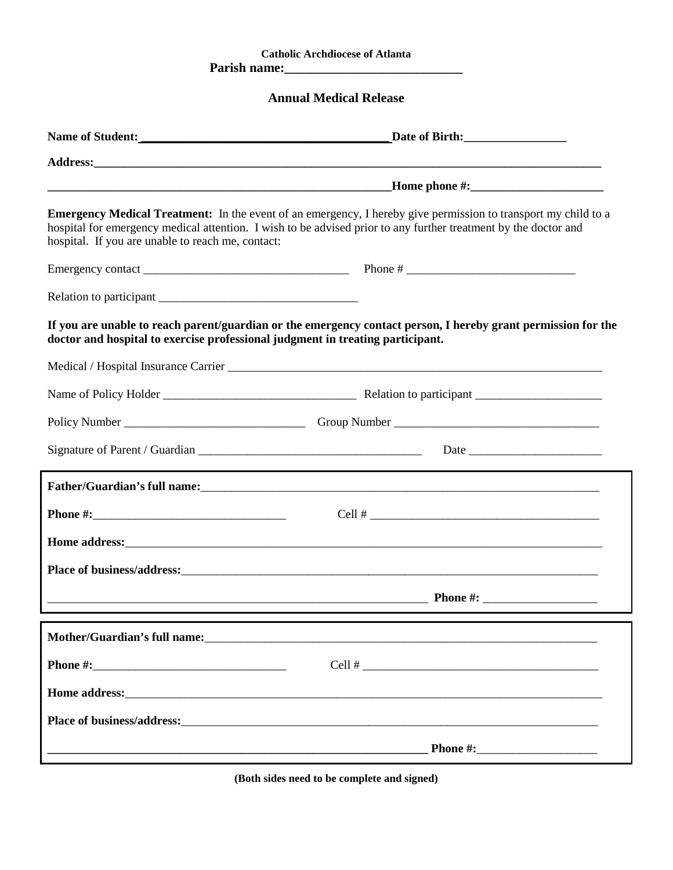## **Catholic Archdiocese of Atlanta Parish name:\_\_\_\_\_\_\_\_\_\_\_\_\_\_\_\_\_\_\_\_\_\_\_\_\_\_\_**

## **Annual Medical Release**

| Name of Student:<br><u> and</u> <b>Name of Student:</b>                        |                                                                                                                                                                                                                                          |  |
|--------------------------------------------------------------------------------|------------------------------------------------------------------------------------------------------------------------------------------------------------------------------------------------------------------------------------------|--|
|                                                                                |                                                                                                                                                                                                                                          |  |
|                                                                                |                                                                                                                                                                                                                                          |  |
| hospital. If you are unable to reach me, contact:                              | <b>Emergency Medical Treatment:</b> In the event of an emergency, I hereby give permission to transport my child to a<br>hospital for emergency medical attention. I wish to be advised prior to any further treatment by the doctor and |  |
|                                                                                |                                                                                                                                                                                                                                          |  |
|                                                                                |                                                                                                                                                                                                                                          |  |
| doctor and hospital to exercise professional judgment in treating participant. | If you are unable to reach parent/guardian or the emergency contact person, I hereby grant permission for the                                                                                                                            |  |
|                                                                                |                                                                                                                                                                                                                                          |  |
|                                                                                |                                                                                                                                                                                                                                          |  |
|                                                                                |                                                                                                                                                                                                                                          |  |
|                                                                                |                                                                                                                                                                                                                                          |  |
|                                                                                |                                                                                                                                                                                                                                          |  |
|                                                                                | $Cell$ #                                                                                                                                                                                                                                 |  |
|                                                                                |                                                                                                                                                                                                                                          |  |
|                                                                                | Place of business/address:<br><u> and</u> the contract of business/address:                                                                                                                                                              |  |
|                                                                                | <b>Example 2.1 Those 2.1 The Contract of the Contract of the Contract of the Contract of the Contract of the Contract of the Contract of the Contract of the Contract of the Contract of the Contract of the Contract of the Co</b>      |  |
|                                                                                |                                                                                                                                                                                                                                          |  |
|                                                                                |                                                                                                                                                                                                                                          |  |
|                                                                                |                                                                                                                                                                                                                                          |  |
|                                                                                | Place of business/address:<br><u>Letter and the contract of the contract of the contract of the contract of the contract of the contract of the contract of the contract of the contract of the contract of the contract of the co</u>   |  |
|                                                                                |                                                                                                                                                                                                                                          |  |

**(Both sides need to be complete and signed)**